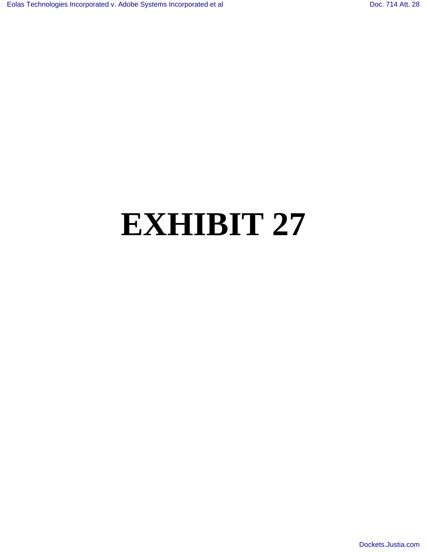## **EXHIBIT 27**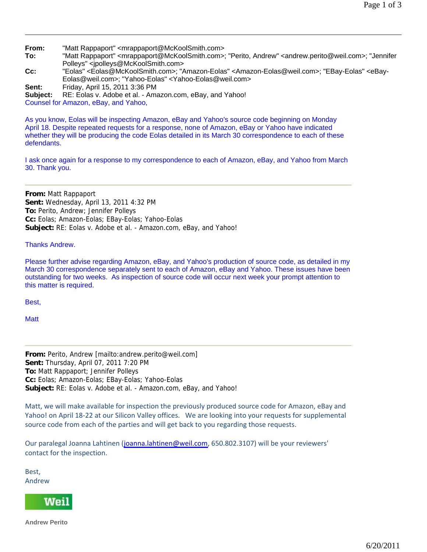**From:** "Matt Rappaport" <mrappaport@McKoolSmith.com>

**To:** "Matt Rappaport" <mrappaport@McKoolSmith.com>; "Perito, Andrew" <andrew.perito@weil.com>; "Jennifer Polleys" <jpolleys@McKoolSmith.com>

**Cc:** "Eolas" <Eolas@McKoolSmith.com>; "Amazon-Eolas" <Amazon-Eolas@weil.com>; "EBay-Eolas" <eBay-Eolas@weil.com>; "Yahoo-Eolas" <Yahoo-Eolas@weil.com>

**Sent:** Friday, April 15, 2011 3:36 PM

**Subject:** RE: Eolas v. Adobe et al. - Amazon.com, eBay, and Yahoo!

Counsel for Amazon, eBay, and Yahoo,

As you know, Eolas will be inspecting Amazon, eBay and Yahoo's source code beginning on Monday April 18. Despite repeated requests for a response, none of Amazon, eBay or Yahoo have indicated whether they will be producing the code Eolas detailed in its March 30 correspondence to each of these defendants.

I ask once again for a response to my correspondence to each of Amazon, eBay, and Yahoo from March 30. Thank you.

**From:** Matt Rappaport **Sent:** Wednesday, April 13, 2011 4:32 PM **To:** Perito, Andrew; Jennifer Polleys **Cc:** Eolas; Amazon-Eolas; EBay-Eolas; Yahoo-Eolas **Subject:** RE: Eolas v. Adobe et al. - Amazon.com, eBay, and Yahoo!

## Thanks Andrew.

Please further advise regarding Amazon, eBay, and Yahoo's production of source code, as detailed in my March 30 correspondence separately sent to each of Amazon, eBay and Yahoo. These issues have been outstanding for two weeks. As inspection of source code will occur next week your prompt attention to this matter is required.

Best,

**Matt** 

**From:** Perito, Andrew [mailto:andrew.perito@weil.com] **Sent:** Thursday, April 07, 2011 7:20 PM **To:** Matt Rappaport; Jennifer Polleys **Cc:** Eolas; Amazon-Eolas; EBay-Eolas; Yahoo-Eolas **Subject:** RE: Eolas v. Adobe et al. - Amazon.com, eBay, and Yahoo!

Matt, we will make available for inspection the previously produced source code for Amazon, eBay and Yahoo! on April 18‐22 at our Silicon Valley offices. We are looking into your requests for supplemental source code from each of the parties and will get back to you regarding those requests.

Our paralegal Joanna Lahtinen (joanna.lahtinen@weil.com, 650.802.3107) will be your reviewers' contact for the inspection.

Best, Andrew



**Andrew Perito**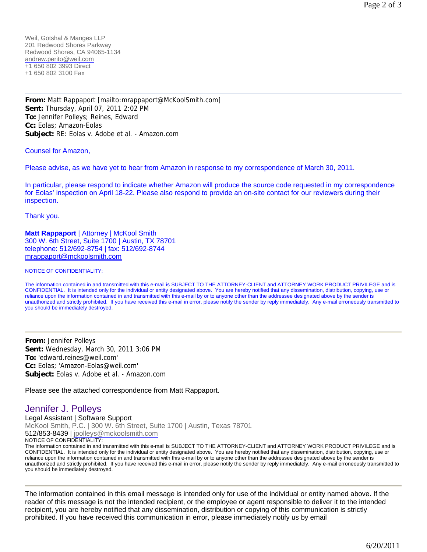Weil, Gotshal & Manges LLP 201 Redwood Shores Parkway Redwood Shores, CA 94065-1134 andrew.perito@weil.com +1 650 802 3993 Direct +1 650 802 3100 Fax

**From:** Matt Rappaport [mailto:mrappaport@McKoolSmith.com] **Sent:** Thursday, April 07, 2011 2:02 PM **To:** Jennifer Polleys; Reines, Edward **Cc:** Eolas; Amazon-Eolas **Subject:** RE: Eolas v. Adobe et al. - Amazon.com

Counsel for Amazon,

Please advise, as we have yet to hear from Amazon in response to my correspondence of March 30, 2011.

In particular, please respond to indicate whether Amazon will produce the source code requested in my correspondence for Eolas' inspection on April 18-22. Please also respond to provide an on-site contact for our reviewers during their inspection.

Thank you.

**Matt Rappaport** | Attorney | McKool Smith 300 W. 6th Street, Suite 1700 | Austin, TX 78701 telephone: 512/692-8754 | fax: 512/692-8744 mrappaport@mckoolsmith.com

NOTICE OF CONFIDENTIALITY:

The information contained in and transmitted with this e-mail is SUBJECT TO THE ATTORNEY-CLIENT and ATTORNEY WORK PRODUCT PRIVILEGE and is CONFIDENTIAL. It is intended only for the individual or entity designated above. You are hereby notified that any dissemination, distribution, copying, use or reliance upon the information contained in and transmitted with this e-mail by or to anyone other than the addressee designated above by the sender is unauthorized and strictly prohibited. If you have received this e-mail in error, please notify the sender by reply immediately. Any e-mail erroneously transmitted to you should be immediately destroyed.

**From:** Jennifer Polleys **Sent:** Wednesday, March 30, 2011 3:06 PM **To:** 'edward.reines@weil.com' **Cc:** Eolas; 'Amazon-Eolas@weil.com' **Subject:** Eolas v. Adobe et al. - Amazon.com

Please see the attached correspondence from Matt Rappaport.

## Jennifer J. Polleys

Legal Assistant | Software Support McKool Smith, P.C. | 300 W. 6th Street, Suite 1700 | Austin, Texas 78701 512/853-8439 | jpolleys@mckoolsmith.com NOTICE OF CONFIDENTIALITY:

The information contained in and transmitted with this e-mail is SUBJECT TO THE ATTORNEY-CLIENT and ATTORNEY WORK PRODUCT PRIVILEGE and is CONFIDENTIAL. It is intended only for the individual or entity designated above. You are hereby notified that any dissemination, distribution, copying, use or reliance upon the information contained in and transmitted with this e-mail by or to anyone other than the addressee designated above by the sender is unauthorized and strictly prohibited. If you have received this e-mail in error, please notify the sender by reply immediately. Any e-mail erroneously transmitted to you should be immediately destroyed.

The information contained in this email message is intended only for use of the individual or entity named above. If the reader of this message is not the intended recipient, or the employee or agent responsible to deliver it to the intended recipient, you are hereby notified that any dissemination, distribution or copying of this communication is strictly prohibited. If you have received this communication in error, please immediately notify us by email